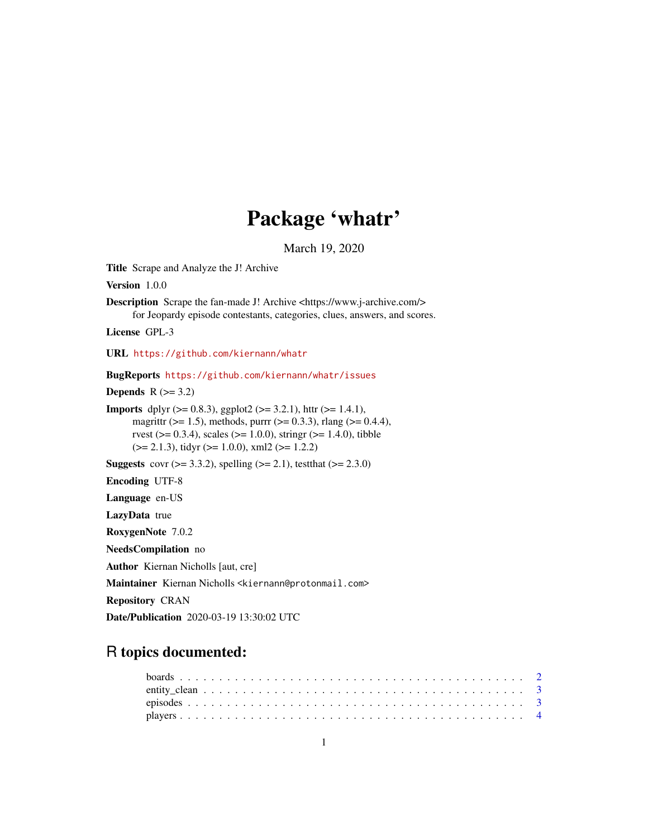# Package 'whatr'

March 19, 2020

<span id="page-0-0"></span>Title Scrape and Analyze the J! Archive

Version 1.0.0

Description Scrape the fan-made J! Archive <https://www.j-archive.com/> for Jeopardy episode contestants, categories, clues, answers, and scores.

License GPL-3

URL <https://github.com/kiernann/whatr>

BugReports <https://github.com/kiernann/whatr/issues>

Depends  $R$  ( $>= 3.2$ )

**Imports** dplyr ( $> = 0.8.3$ ), ggplot2 ( $> = 3.2.1$ ), httr ( $> = 1.4.1$ ), magrittr ( $>= 1.5$ ), methods, purrr ( $>= 0.3.3$ ), rlang ( $>= 0.4.4$ ), rvest ( $> = 0.3.4$ ), scales ( $> = 1.0.0$ ), stringr ( $> = 1.4.0$ ), tibble  $(>= 2.1.3)$ , tidyr  $(>= 1.0.0)$ , xml2  $(>= 1.2.2)$ 

**Suggests** covr ( $>= 3.3.2$ ), spelling ( $>= 2.1$ ), test that ( $>= 2.3.0$ )

Encoding UTF-8

Language en-US

LazyData true

RoxygenNote 7.0.2

NeedsCompilation no

Author Kiernan Nicholls [aut, cre]

Maintainer Kiernan Nicholls <kiernann@protonmail.com>

Repository CRAN

Date/Publication 2020-03-19 13:30:02 UTC

## R topics documented: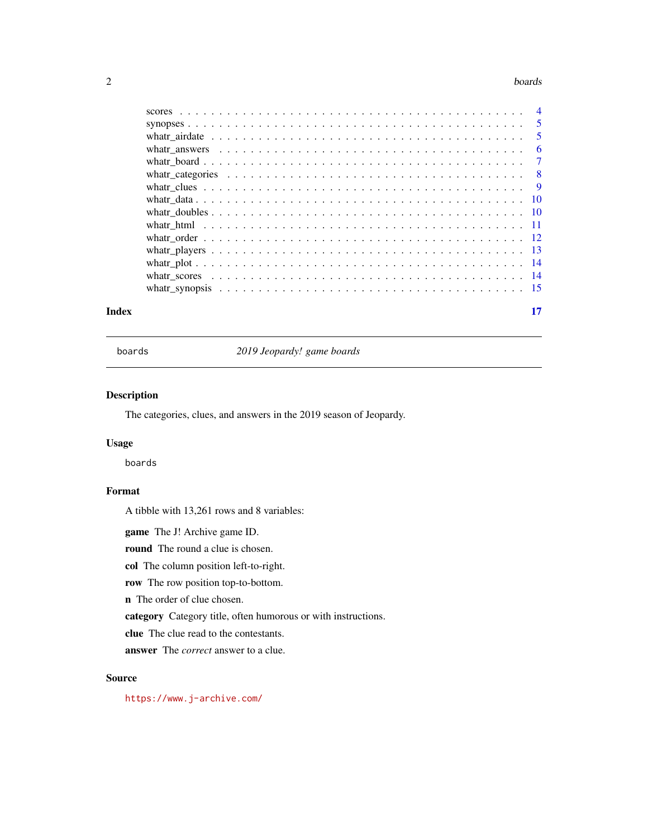#### <span id="page-1-0"></span>2 boards and the contract of the contract of the contract of the contract of the contract of the contract of the contract of the contract of the contract of the contract of the contract of the contract of the contract of t

| Index |  |
|-------|--|

boards *2019 Jeopardy! game boards*

#### Description

The categories, clues, and answers in the 2019 season of Jeopardy.

#### Usage

boards

#### Format

A tibble with 13,261 rows and 8 variables:

game The J! Archive game ID.

round The round a clue is chosen.

col The column position left-to-right.

row The row position top-to-bottom.

n The order of clue chosen.

category Category title, often humorous or with instructions.

clue The clue read to the contestants.

answer The *correct* answer to a clue.

#### Source

<https://www.j-archive.com/>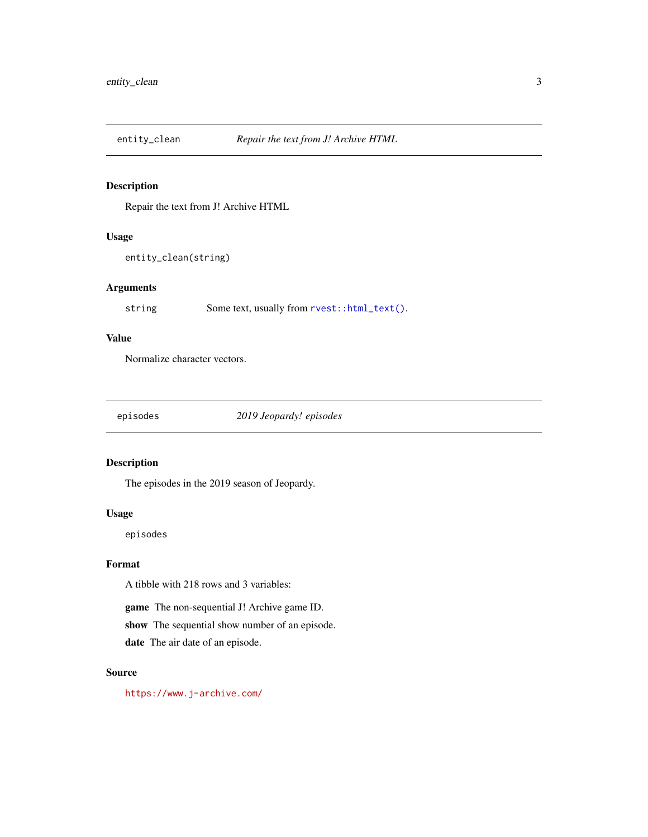<span id="page-2-0"></span>

Repair the text from J! Archive HTML

#### Usage

```
entity_clean(string)
```
#### Arguments

string Some text, usually from  $rvest::html\_text()$ .

#### Value

Normalize character vectors.

episodes *2019 Jeopardy! episodes*

#### Description

The episodes in the 2019 season of Jeopardy.

#### Usage

episodes

#### Format

A tibble with 218 rows and 3 variables:

game The non-sequential J! Archive game ID.

show The sequential show number of an episode.

date The air date of an episode.

#### Source

<https://www.j-archive.com/>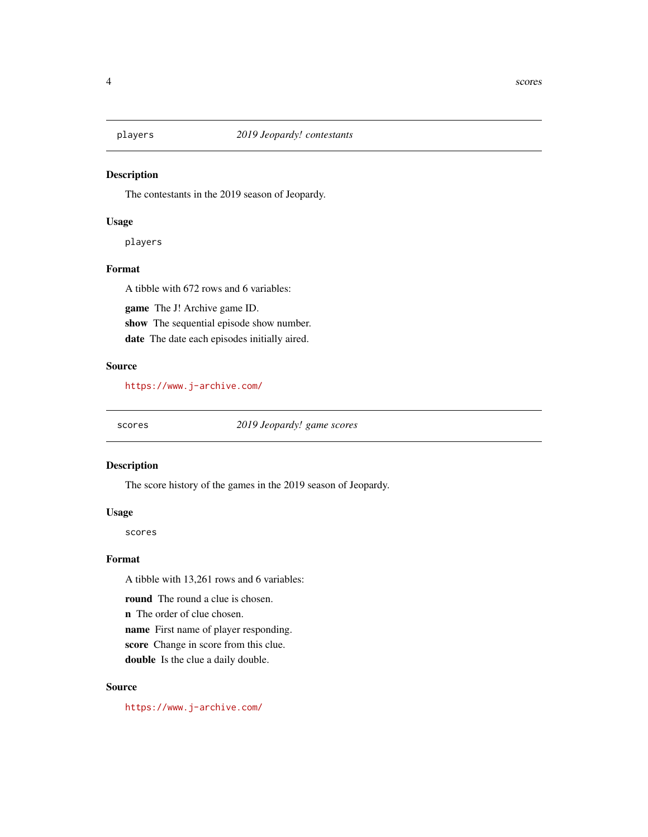<span id="page-3-0"></span>

The contestants in the 2019 season of Jeopardy.

#### Usage

players

#### Format

A tibble with 672 rows and 6 variables:

game The J! Archive game ID. show The sequential episode show number. date The date each episodes initially aired.

#### Source

<https://www.j-archive.com/>

scores *2019 Jeopardy! game scores*

#### Description

The score history of the games in the 2019 season of Jeopardy.

#### Usage

scores

#### Format

A tibble with 13,261 rows and 6 variables:

round The round a clue is chosen.

n The order of clue chosen.

name First name of player responding.

score Change in score from this clue.

double Is the clue a daily double.

#### Source

<https://www.j-archive.com/>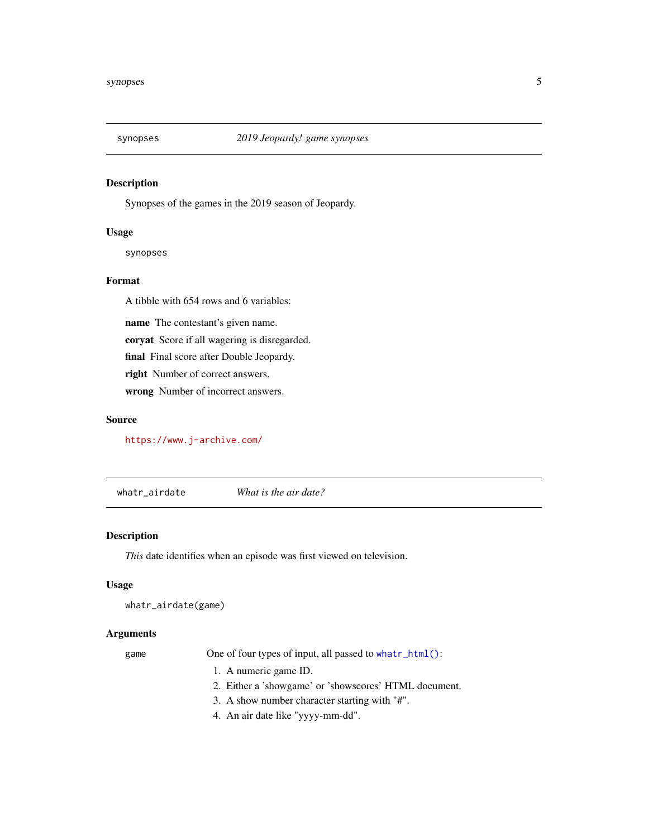<span id="page-4-0"></span>

Synopses of the games in the 2019 season of Jeopardy.

#### Usage

synopses

#### Format

A tibble with 654 rows and 6 variables:

name The contestant's given name.

coryat Score if all wagering is disregarded.

final Final score after Double Jeopardy.

right Number of correct answers.

wrong Number of incorrect answers.

#### Source

<https://www.j-archive.com/>

whatr\_airdate *What is the air date?*

#### Description

*This* date identifies when an episode was first viewed on television.

#### Usage

```
whatr_airdate(game)
```
#### Arguments

game One of four types of input, all passed to [whatr\\_html\(\)](#page-10-1):

- 1. A numeric game ID.
- 2. Either a 'showgame' or 'showscores' HTML document.
- 3. A show number character starting with "#".
- 4. An air date like "yyyy-mm-dd".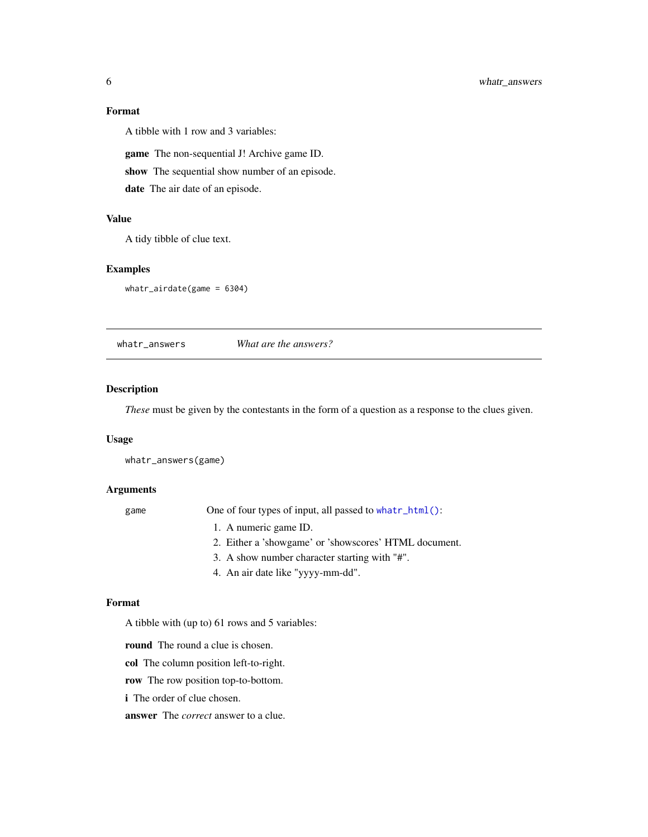#### <span id="page-5-0"></span>Format

A tibble with 1 row and 3 variables:

game The non-sequential J! Archive game ID.

show The sequential show number of an episode.

date The air date of an episode.

#### Value

A tidy tibble of clue text.

#### Examples

whatr\_airdate(game = 6304)

whatr\_answers *What are the answers?*

#### Description

*These* must be given by the contestants in the form of a question as a response to the clues given.

#### Usage

whatr\_answers(game)

#### Arguments

game One of four types of input, all passed to [whatr\\_html\(\)](#page-10-1):

- 1. A numeric game ID.
- 2. Either a 'showgame' or 'showscores' HTML document.
- 3. A show number character starting with "#".
- 4. An air date like "yyyy-mm-dd".

#### Format

A tibble with (up to) 61 rows and 5 variables:

round The round a clue is chosen.

col The column position left-to-right.

row The row position top-to-bottom.

i The order of clue chosen.

answer The *correct* answer to a clue.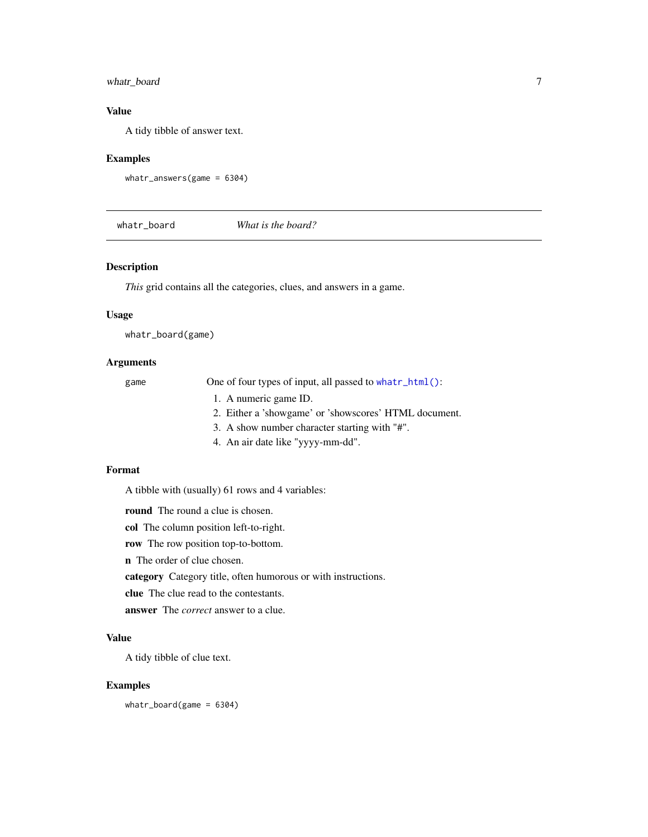#### <span id="page-6-0"></span>whatr\_board 7

#### Value

A tidy tibble of answer text.

#### Examples

```
whatr_answers(game = 6304)
```
whatr\_board *What is the board?*

#### Description

*This* grid contains all the categories, clues, and answers in a game.

#### Usage

whatr\_board(game)

#### Arguments

game One of four types of input, all passed to what r\_html():

- 1. A numeric game ID.
- 2. Either a 'showgame' or 'showscores' HTML document.
- 3. A show number character starting with "#".
- 4. An air date like "yyyy-mm-dd".

#### Format

A tibble with (usually) 61 rows and 4 variables:

round The round a clue is chosen.

col The column position left-to-right.

row The row position top-to-bottom.

n The order of clue chosen.

category Category title, often humorous or with instructions.

clue The clue read to the contestants.

answer The *correct* answer to a clue.

#### Value

A tidy tibble of clue text.

#### Examples

whatr\_board(game = 6304)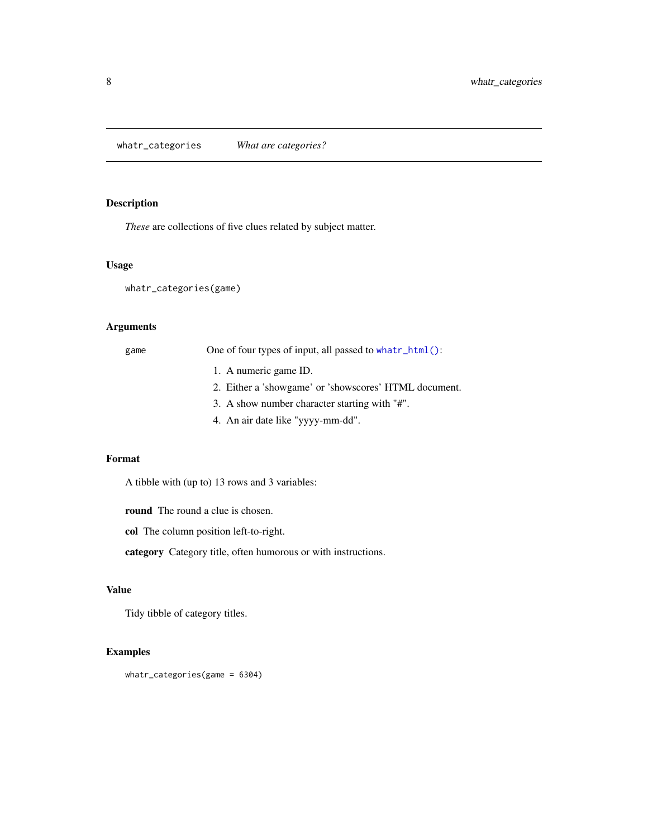<span id="page-7-0"></span>whatr\_categories *What are categories?*

#### Description

*These* are collections of five clues related by subject matter.

#### Usage

whatr\_categories(game)

#### Arguments

| game | One of four types of input, all passed to what r_html(): |
|------|----------------------------------------------------------|
|      | 1. A numeric game ID.                                    |
|      | 2. Either a 'showgame' or 'showscores' HTML document.    |
|      | 3. A show number character starting with "#".            |
|      | 4. An air date like "yyyy-mm-dd".                        |

#### Format

A tibble with (up to) 13 rows and 3 variables:

round The round a clue is chosen.

col The column position left-to-right.

category Category title, often humorous or with instructions.

#### Value

Tidy tibble of category titles.

#### Examples

whatr\_categories(game = 6304)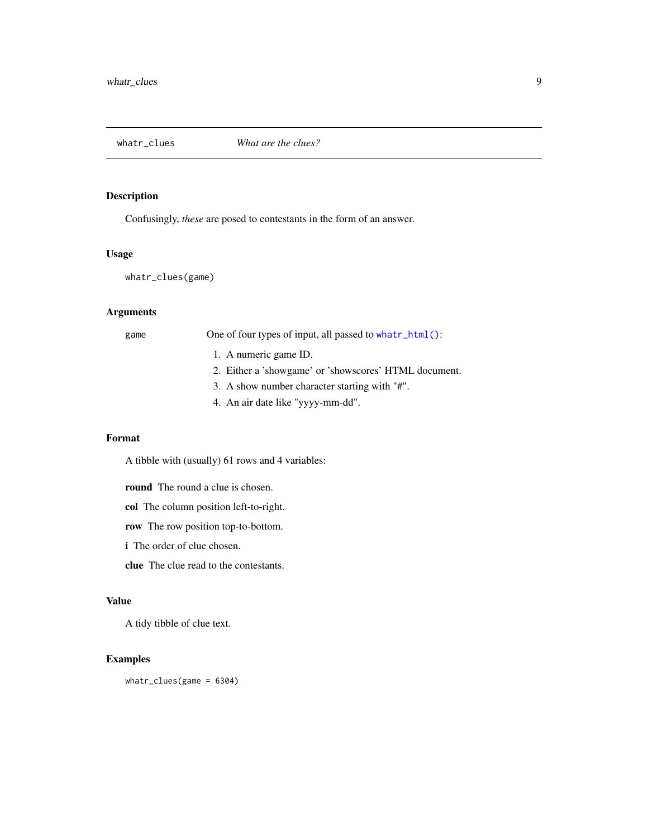<span id="page-8-1"></span><span id="page-8-0"></span>

Confusingly, *these* are posed to contestants in the form of an answer.

#### Usage

whatr\_clues(game)

#### Arguments

game One of four types of input, all passed to [whatr\\_html\(\)](#page-10-1):

- 1. A numeric game ID.
- 2. Either a 'showgame' or 'showscores' HTML document.
- 3. A show number character starting with "#".
- 4. An air date like "yyyy-mm-dd".

#### Format

A tibble with (usually) 61 rows and 4 variables:

round The round a clue is chosen.

col The column position left-to-right.

row The row position top-to-bottom.

i The order of clue chosen.

clue The clue read to the contestants.

#### Value

A tidy tibble of clue text.

#### Examples

whatr\_clues(game = 6304)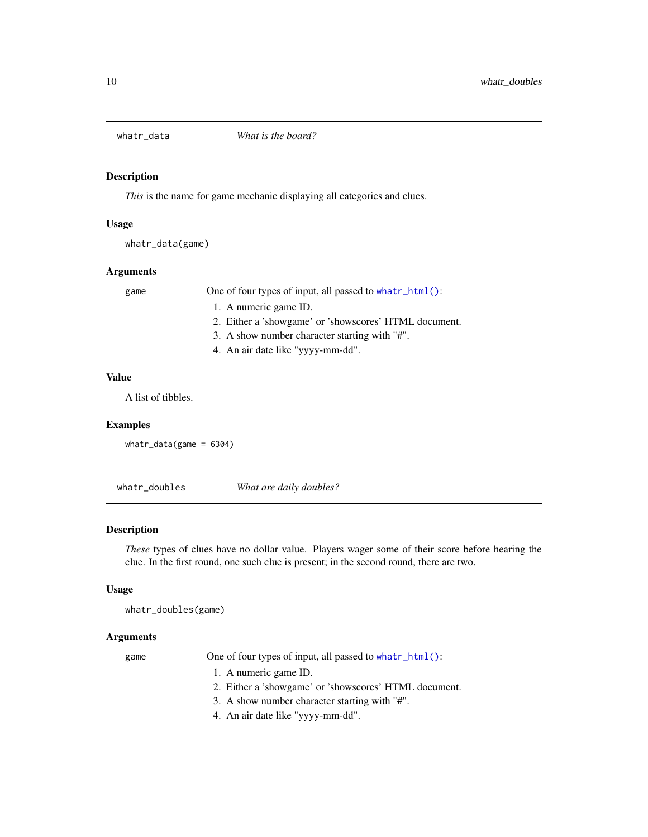<span id="page-9-0"></span>

*This* is the name for game mechanic displaying all categories and clues.

#### Usage

whatr\_data(game)

#### Arguments

game One of four types of input, all passed to [whatr\\_html\(\)](#page-10-1):

- 1. A numeric game ID.
- 2. Either a 'showgame' or 'showscores' HTML document.
- 3. A show number character starting with "#".
- 4. An air date like "yyyy-mm-dd".

#### Value

A list of tibbles.

#### Examples

```
whatr_data(game = 6304)
```
whatr\_doubles *What are daily doubles?*

#### Description

*These* types of clues have no dollar value. Players wager some of their score before hearing the clue. In the first round, one such clue is present; in the second round, there are two.

#### Usage

```
whatr_doubles(game)
```
#### Arguments

game One of four types of input, all passed to [whatr\\_html\(\)](#page-10-1):

- 1. A numeric game ID.
- 2. Either a 'showgame' or 'showscores' HTML document.
- 3. A show number character starting with "#".
- 4. An air date like "yyyy-mm-dd".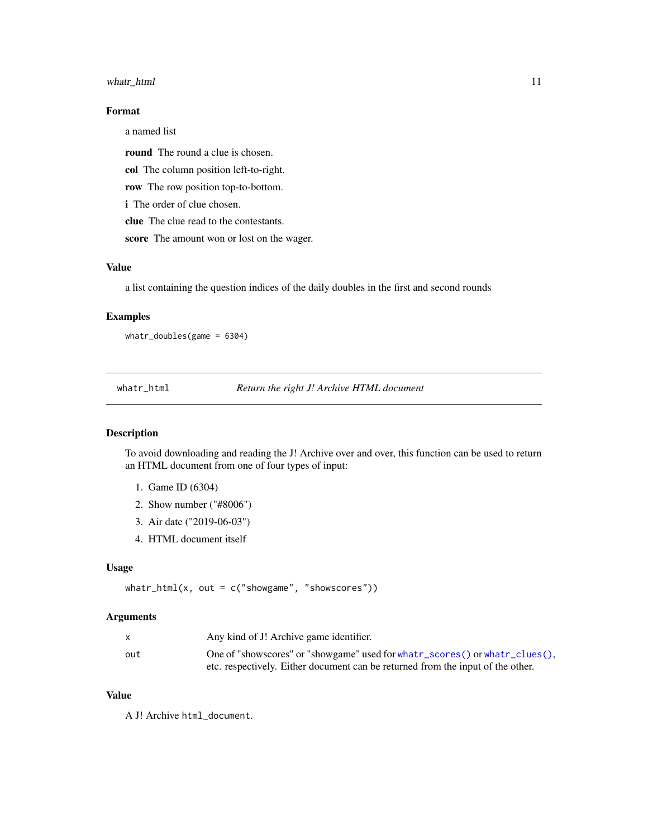#### <span id="page-10-0"></span>whatr\_html 11

#### Format

a named list

round The round a clue is chosen.

col The column position left-to-right.

row The row position top-to-bottom.

i The order of clue chosen.

clue The clue read to the contestants.

score The amount won or lost on the wager.

#### Value

a list containing the question indices of the daily doubles in the first and second rounds

#### Examples

whatr\_doubles(game = 6304)

<span id="page-10-1"></span>whatr\_html *Return the right J! Archive HTML document*

#### Description

To avoid downloading and reading the J! Archive over and over, this function can be used to return an HTML document from one of four types of input:

- 1. Game ID (6304)
- 2. Show number ("#8006")
- 3. Air date ("2019-06-03")
- 4. HTML document itself

#### Usage

```
whatr_html(x, out = c("showgame", "showscores"))
```
#### Arguments

|     | Any kind of J! Archive game identifier.                                             |
|-----|-------------------------------------------------------------------------------------|
| out | One of "showscores" or "showgame" used for what $r$ _scores() or what $r$ _clues(), |
|     | etc. respectively. Either document can be returned from the input of the other.     |

#### Value

A J! Archive html\_document.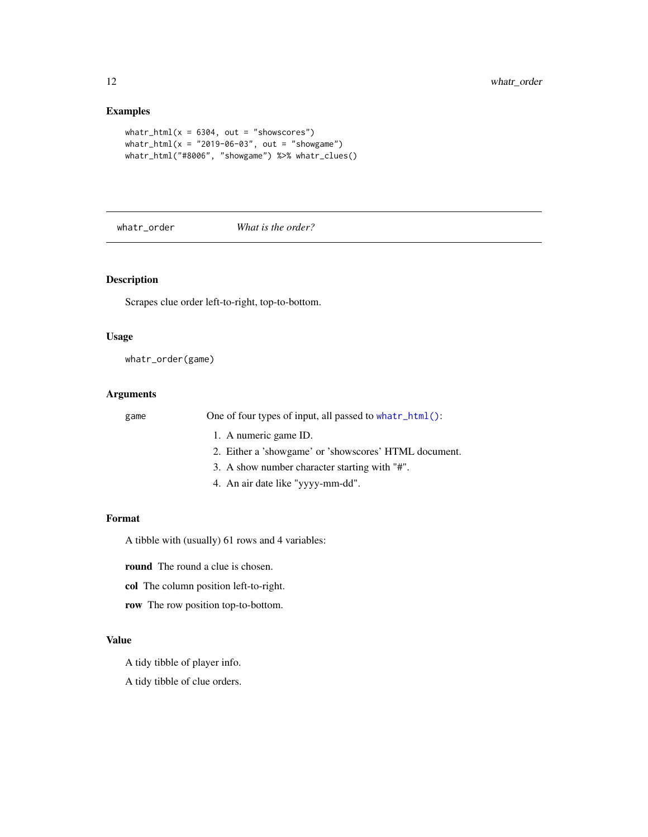#### <span id="page-11-0"></span>Examples

```
whatr_html(x = 6304, out = "showscores")
whatr_html(x = "2019-06-03", out = "showgame")whatr_html("#8006", "showgame") %>% whatr_clues()
```
whatr\_order *What is the order?*

#### Description

Scrapes clue order left-to-right, top-to-bottom.

#### Usage

whatr\_order(game)

#### Arguments

game One of four types of input, all passed to [whatr\\_html\(\)](#page-10-1):

- 1. A numeric game ID.
- 2. Either a 'showgame' or 'showscores' HTML document.
- 3. A show number character starting with "#".
- 4. An air date like "yyyy-mm-dd".

#### Format

A tibble with (usually) 61 rows and 4 variables:

round The round a clue is chosen.

col The column position left-to-right.

row The row position top-to-bottom.

#### Value

A tidy tibble of player info.

A tidy tibble of clue orders.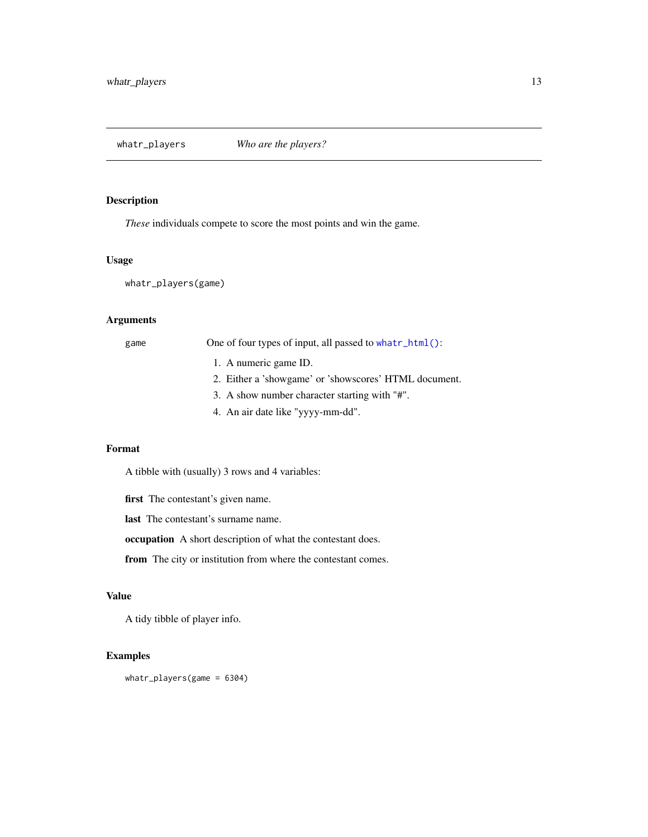<span id="page-12-0"></span>*These* individuals compete to score the most points and win the game.

#### Usage

whatr\_players(game)

#### Arguments

game One of four types of input, all passed to [whatr\\_html\(\)](#page-10-1):

- 1. A numeric game ID.
- 2. Either a 'showgame' or 'showscores' HTML document.
- 3. A show number character starting with "#".
- 4. An air date like "yyyy-mm-dd".

#### Format

A tibble with (usually) 3 rows and 4 variables:

first The contestant's given name.

last The contestant's surname name.

occupation A short description of what the contestant does.

from The city or institution from where the contestant comes.

#### Value

A tidy tibble of player info.

#### Examples

whatr\_players(game = 6304)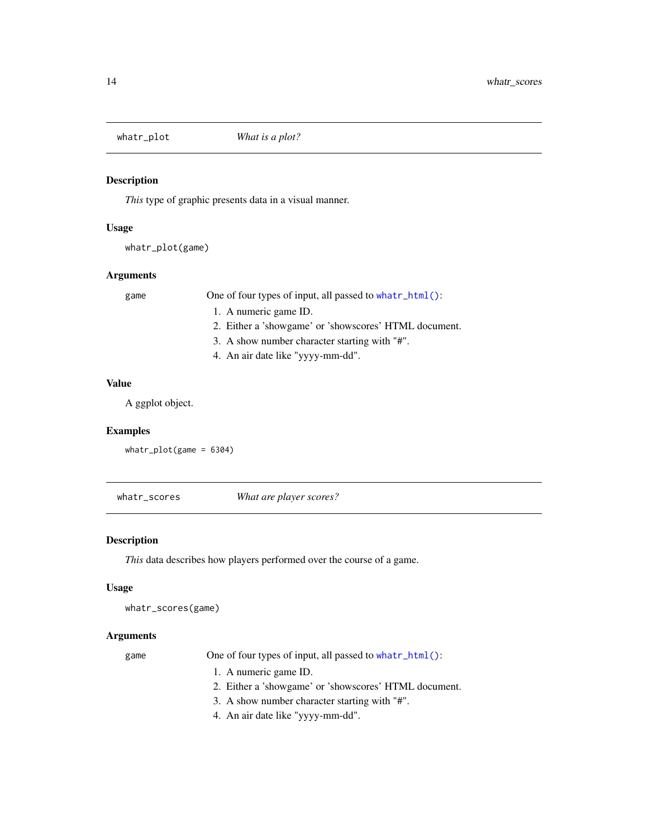<span id="page-13-0"></span>

*This* type of graphic presents data in a visual manner.

#### Usage

```
whatr_plot(game)
```
#### Arguments

game One of four types of input, all passed to [whatr\\_html\(\)](#page-10-1):

- 1. A numeric game ID.
- 2. Either a 'showgame' or 'showscores' HTML document.
- 3. A show number character starting with "#".
- 4. An air date like "yyyy-mm-dd".

#### Value

A ggplot object.

#### Examples

```
whatr_plot(game = 6304)
```
<span id="page-13-1"></span>whatr\_scores *What are player scores?*

#### Description

*This* data describes how players performed over the course of a game.

#### Usage

```
whatr_scores(game)
```
#### Arguments

game One of four types of input, all passed to [whatr\\_html\(\)](#page-10-1):

- 1. A numeric game ID.
- 2. Either a 'showgame' or 'showscores' HTML document.
- 3. A show number character starting with "#".
- 4. An air date like "yyyy-mm-dd".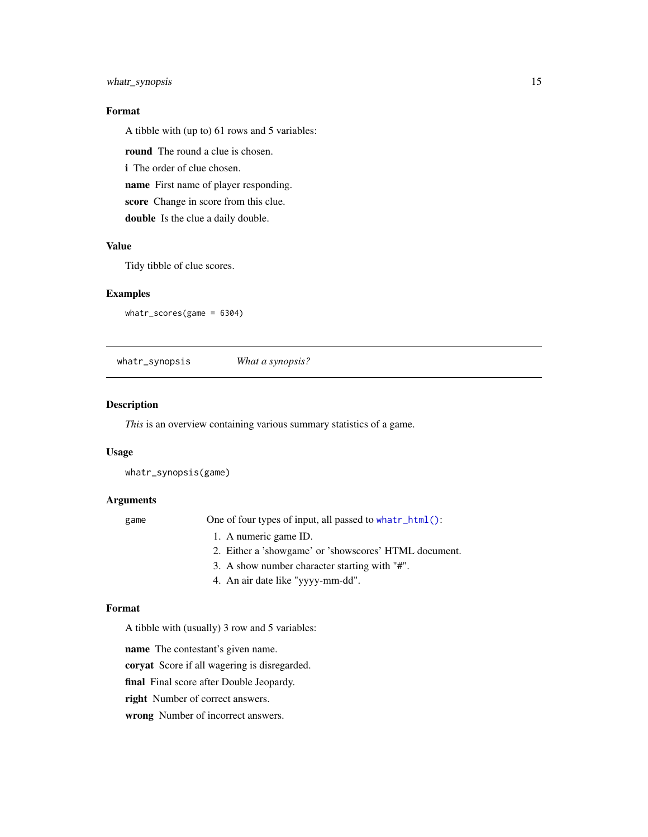#### <span id="page-14-0"></span>whatr\_synopsis 15

#### Format

A tibble with (up to) 61 rows and 5 variables:

round The round a clue is chosen.

i The order of clue chosen.

name First name of player responding.

score Change in score from this clue.

double Is the clue a daily double.

#### Value

Tidy tibble of clue scores.

#### Examples

whatr\_scores(game = 6304)

whatr\_synopsis *What a synopsis?*

#### Description

*This* is an overview containing various summary statistics of a game.

#### Usage

whatr\_synopsis(game)

#### Arguments

game One of four types of input, all passed to [whatr\\_html\(\)](#page-10-1):

- 1. A numeric game ID.
- 2. Either a 'showgame' or 'showscores' HTML document.
- 3. A show number character starting with "#".
- 4. An air date like "yyyy-mm-dd".

#### Format

A tibble with (usually) 3 row and 5 variables:

name The contestant's given name.

coryat Score if all wagering is disregarded.

final Final score after Double Jeopardy.

right Number of correct answers.

wrong Number of incorrect answers.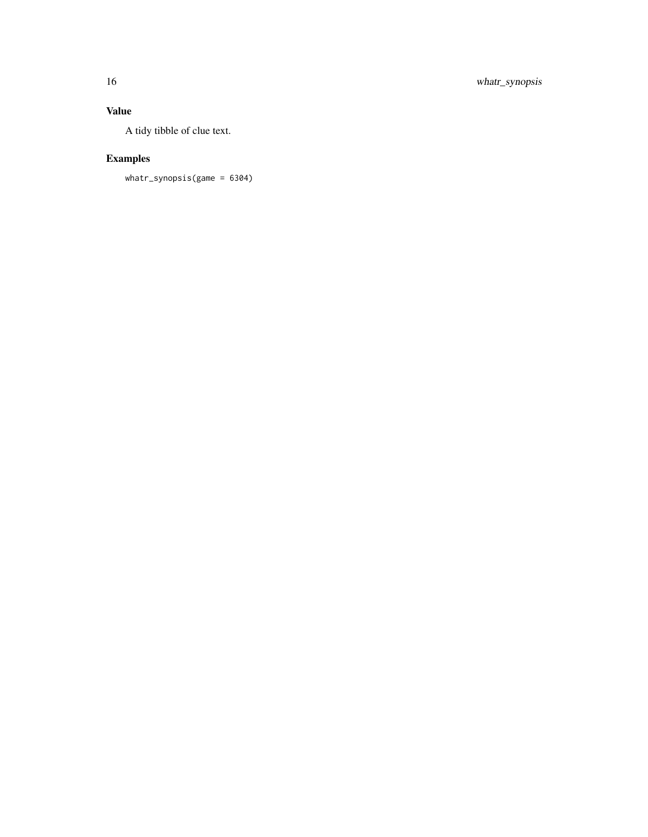### Value

A tidy tibble of clue text.

### Examples

whatr\_synopsis(game = 6304)